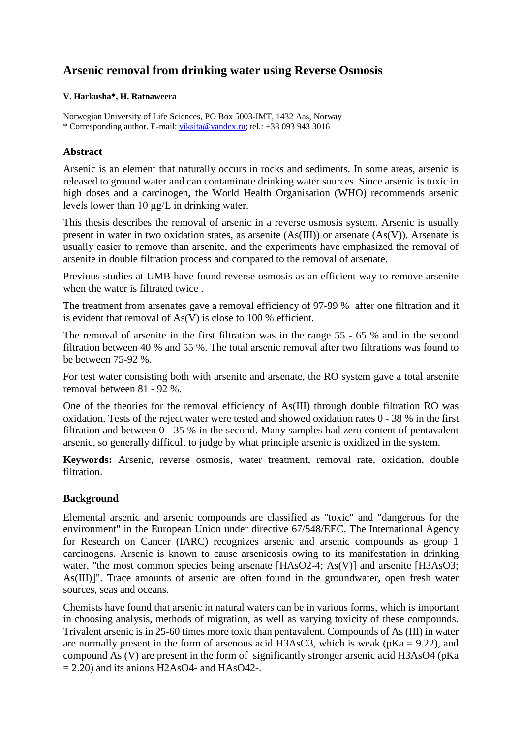# **Arsenic removal from drinking water using Reverse Osmosis**

#### **V. Harkusha\*, H. Ratnaweera**

Norwegian University of Life Sciences, PO Box 5003-IMT, 1432 Aas, Norway \* Corresponding author. E-mail: [viksita@yandex.ru;](mailto:viksita@yandex.ru) tel.: +38 093 943 3016

#### **Abstract**

Arsenic is an element that naturally occurs in rocks and sediments. In some areas, arsenic is released to ground water and can contaminate drinking water sources. Since arsenic is toxic in high doses and a carcinogen, the World Health Organisation (WHO) recommends arsenic levels lower than 10 μg/L in drinking water.

This thesis describes the removal of arsenic in a reverse osmosis system. Arsenic is usually present in water in two oxidation states, as arsenite (As(III)) or arsenate (As(V)). Arsenate is usually easier to remove than arsenite, and the experiments have emphasized the removal of arsenite in double filtration process and compared to the removal of arsenate.

Previous studies at UMB have found reverse osmosis as an efficient way to remove arsenite when the water is filtrated twice .

The treatment from arsenates gave a removal efficiency of 97-99 % after one filtration and it is evident that removal of  $As(V)$  is close to 100 % efficient.

The removal of arsenite in the first filtration was in the range 55 - 65 % and in the second filtration between 40 % and 55 %. The total arsenic removal after two filtrations was found to be between 75-92 %.

For test water consisting both with arsenite and arsenate, the RO system gave a total arsenite removal between 81 - 92 %.

One of the theories for the removal efficiency of As(III) through double filtration RO was oxidation. Tests of the reject water were tested and showed oxidation rates 0 - 38 % in the first filtration and between 0 - 35 % in the second. Many samples had zero content of pentavalent arsenic, so generally difficult to judge by what principle arsenic is oxidized in the system.

**Keywords:** Arsenic, reverse osmosis, water treatment, removal rate, oxidation, double filtration.

# **Background**

Elemental arsenic and arsenic compounds are classified as "toxic" and "dangerous for the environment" in the European Union under directive 67/548/EEC. The International Agency for Research on Cancer (IARC) recognizes arsenic and arsenic compounds as group 1 carcinogens. Arsenic is known to cause arsenicosis owing to its manifestation in drinking water, "the most common species being arsenate [HAsO2-4; As(V)] and arsenite [H3AsO3; As(III)]". Trace amounts of arsenic are often found in the groundwater, open fresh water sources, seas and oceans.

Chemists have found that arsenic in natural waters can be in various forms, which is important in choosing analysis, methods of migration, as well as varying toxicity of these compounds. Trivalent arsenic is in 25-60 times more toxic than pentavalent. Compounds of As (III) in water are normally present in the form of arsenous acid H3AsO3, which is weak ( $pKa = 9.22$ ), and compound As (V) are present in the form of significantly stronger arsenic acid H3AsO4 (pKa  $= 2.20$ ) and its anions H2AsO4- and HAsO42-.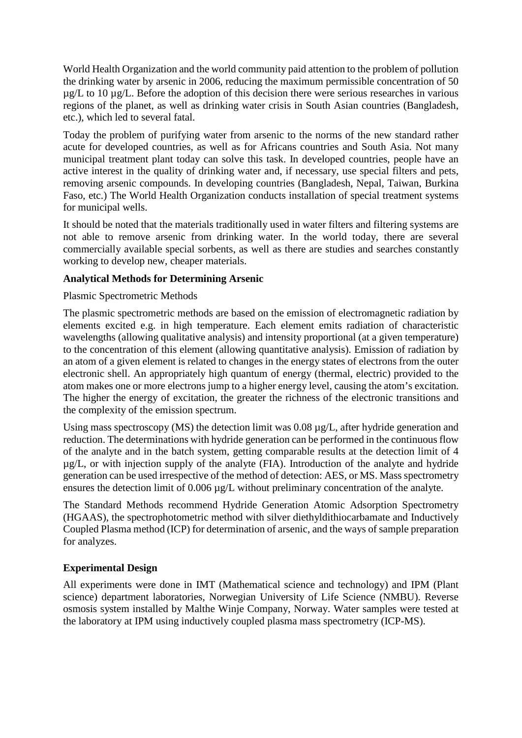World Health Organization and the world community paid attention to the problem of pollution the drinking water by arsenic in 2006, reducing the maximum permissible concentration of 50 µg/L to 10 µg/L. Before the adoption of this decision there were serious researches in various regions of the planet, as well as drinking water crisis in South Asian countries (Bangladesh, etc.), which led to several fatal.

Today the problem of purifying water from arsenic to the norms of the new standard rather acute for developed countries, as well as for Africans countries and South Asia. Not many municipal treatment plant today can solve this task. In developed countries, people have an active interest in the quality of drinking water and, if necessary, use special filters and pets, removing arsenic compounds. In developing countries (Bangladesh, Nepal, Taiwan, Burkina Faso, etc.) The World Health Organization conducts installation of special treatment systems for municipal wells.

It should be noted that the materials traditionally used in water filters and filtering systems are not able to remove arsenic from drinking water. In the world today, there are several commercially available special sorbents, as well as there are studies and searches constantly working to develop new, cheaper materials.

# **Analytical Methods for Determining Arsenic**

Plasmic Spectrometric Methods

The plasmic spectrometric methods are based on the emission of electromagnetic radiation by elements excited e.g. in high temperature. Each element emits radiation of characteristic wavelengths (allowing qualitative analysis) and intensity proportional (at a given temperature) to the concentration of this element (allowing quantitative analysis). Emission of radiation by an atom of a given element is related to changes in the energy states of electrons from the outer electronic shell. An appropriately high quantum of energy (thermal, electric) provided to the atom makes one or more electrons jump to a higher energy level, causing the atom's excitation. The higher the energy of excitation, the greater the richness of the electronic transitions and the complexity of the emission spectrum.

Using mass spectroscopy (MS) the detection limit was 0.08  $\mu$ g/L, after hydride generation and reduction. The determinations with hydride generation can be performed in the continuous flow of the analyte and in the batch system, getting comparable results at the detection limit of 4 µg/L, or with injection supply of the analyte (FIA). Introduction of the analyte and hydride generation can be used irrespective of the method of detection: AES, or MS. Mass spectrometry ensures the detection limit of 0.006 µg/L without preliminary concentration of the analyte.

The Standard Methods recommend Hydride Generation Atomic Adsorption Spectrometry (HGAAS), the spectrophotometric method with silver diethyldithiocarbamate and Inductively Coupled Plasma method (ICP) for determination of arsenic, and the ways of sample preparation for analyzes.

# **Experimental Design**

All experiments were done in IMT (Mathematical science and technology) and IPM (Plant science) department laboratories, Norwegian University of Life Science (NMBU). Reverse osmosis system installed by Malthe Winje Company, Norway. Water samples were tested at the laboratory at IPM using inductively coupled plasma mass spectrometry (ICP-MS).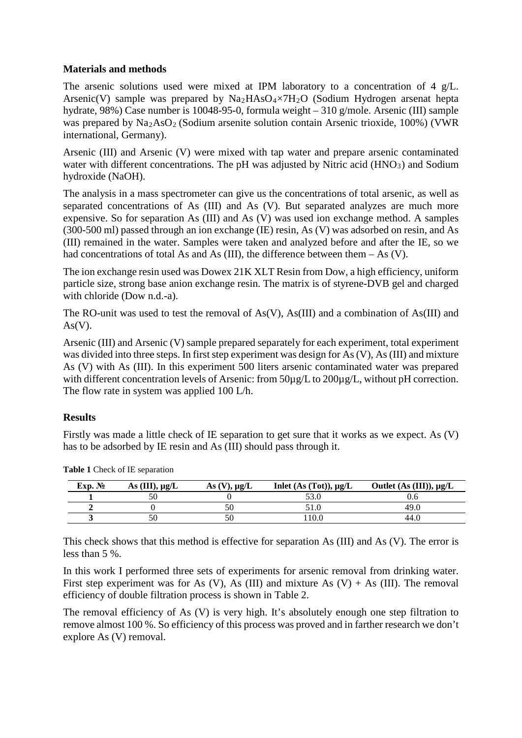#### **Materials and methods**

The arsenic solutions used were mixed at IPM laboratory to a concentration of 4 g/L. Arsenic(V) sample was prepared by  $Na<sub>2</sub>HA<sub>2</sub>O<sub>4</sub> × 7H<sub>2</sub>O$  (Sodium Hydrogen arsenat hepta hydrate, 98%) Case number is 10048-95-0, formula weight – 310 g/mole. Arsenic (III) sample was prepared by  $\text{Na}_2\text{AsO}_2$  (Sodium arsenite solution contain Arsenic trioxide, 100%) (VWR international, Germany).

Arsenic (III) and Arsenic (V) were mixed with tap water and prepare arsenic contaminated water with different concentrations. The pH was adjusted by Nitric acid  $(HNO<sub>3</sub>)$  and Sodium hydroxide (NaOH).

The analysis in a mass spectrometer can give us the concentrations of total arsenic, as well as separated concentrations of As (III) and As (V). But separated analyzes are much more expensive. So for separation As (III) and As (V) was used ion exchange method. A samples (300-500 ml) passed through an ion exchange (IE) resin, As (V) was adsorbed on resin, and As (III) remained in the water. Samples were taken and analyzed before and after the IE, so we had concentrations of total As and As (III), the difference between them  $-$  As (V).

The ion exchange resin used was Dowex 21K XLT Resin from Dow, a high efficiency, uniform particle size, strong base anion exchange resin. The matrix is of styrene-DVB gel and charged with chloride (Dow n.d.-a).

The RO-unit was used to test the removal of As(V), As(III) and a combination of As(III) and  $As(V)$ .

Arsenic (III) and Arsenic (V) sample prepared separately for each experiment, total experiment was divided into three steps. In first step experiment was design for As (V), As (III) and mixture As (V) with As (III). In this experiment 500 liters arsenic contaminated water was prepared with different concentration levels of Arsenic: from  $50\mu$ g/L to  $200\mu$ g/L, without pH correction. The flow rate in system was applied 100 L/h.

# **Results**

Firstly was made a little check of IE separation to get sure that it works as we expect. As (V) has to be adsorbed by IE resin and As (III) should pass through it.

| Exp. N <sub>2</sub> | As $(III)$ , $\mu$ g/L | As $(V)$ , $\mu g/L$ | Inlet $(As (Tot)), \mu g/L$ | Outlet $(As (III)), \mu g/L$ |
|---------------------|------------------------|----------------------|-----------------------------|------------------------------|
|                     |                        |                      |                             |                              |
|                     |                        |                      |                             | 49.0                         |
|                     |                        | 50                   | 10.0                        | 44.0                         |

**Table 1** Check of IE separation

This check shows that this method is effective for separation As (III) and As (V). The error is less than 5 %.

In this work I performed three sets of experiments for arsenic removal from drinking water. First step experiment was for As (V), As (III) and mixture As (V) + As (III). The removal efficiency of double filtration process is shown in Table 2.

The removal efficiency of As (V) is very high. It's absolutely enough one step filtration to remove almost 100 %. So efficiency of this process was proved and in farther research we don't explore As (V) removal.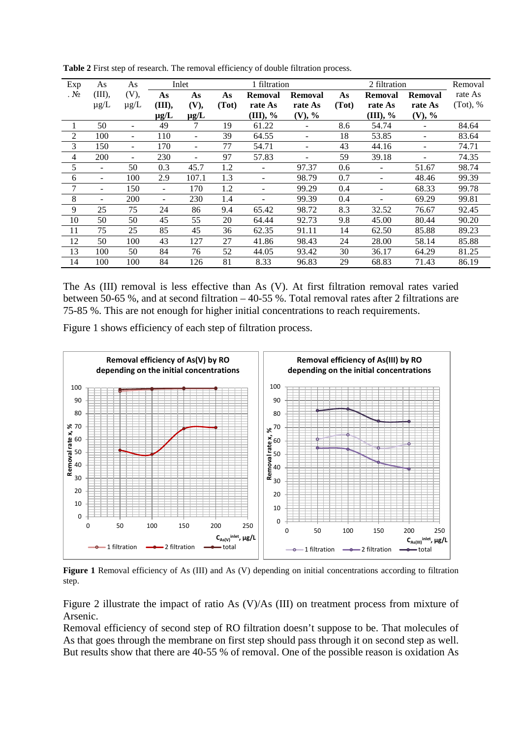| Exp            | As                       | As                       |                          | Inlet                    |       | 1 filtration |         |       | Removal        |                |             |
|----------------|--------------------------|--------------------------|--------------------------|--------------------------|-------|--------------|---------|-------|----------------|----------------|-------------|
| . $N_2$        | (III),                   | (V),                     | As                       | As                       | As    | Removal      | Removal | As    | <b>Removal</b> | <b>Removal</b> | rate As     |
|                | $\mu$ g/L                | $\mu$ g/L                | (III),                   | (V),                     | (Tot) | rate As      | rate As | (Tot) | rate As        | rate As        | $(Tot)$ , % |
|                |                          |                          | $\mu$ g/L                | $\mu$ g/L                |       | (III), %     | (V), %  |       | (III), %       | (V), %         |             |
|                | 50                       |                          | 49                       |                          | 19    | 61.22        |         | 8.6   | 54.74          |                | 84.64       |
| 2              | 100                      | $\overline{\phantom{m}}$ | 110                      |                          | 39    | 64.55        |         | 18    | 53.85          |                | 83.64       |
| 3              | 150                      | $\overline{\phantom{m}}$ | 170                      | $\overline{\phantom{0}}$ | 77    | 54.71        |         | 43    | 44.16          |                | 74.71       |
| $\overline{4}$ | 200                      |                          | 230                      |                          | 97    | 57.83        |         | 59    | 39.18          |                | 74.35       |
| 5              |                          | 50                       | 0.3                      | 45.7                     | 1.2   |              | 97.37   | 0.6   |                | 51.67          | 98.74       |
| 6              |                          | 100                      | 2.9                      | 107.1                    | 1.3   | -            | 98.79   | 0.7   |                | 48.46          | 99.39       |
| 7              | $\overline{\phantom{a}}$ | 150                      | $\overline{\phantom{0}}$ | 170                      | 1.2   | ÷,           | 99.29   | 0.4   |                | 68.33          | 99.78       |
| 8              |                          | 200                      |                          | 230                      | 1.4   |              | 99.39   | 0.4   |                | 69.29          | 99.81       |
| 9              | 25                       | 75                       | 24                       | 86                       | 9.4   | 65.42        | 98.72   | 8.3   | 32.52          | 76.67          | 92.45       |
| 10             | 50                       | 50                       | 45                       | 55                       | 20    | 64.44        | 92.73   | 9.8   | 45.00          | 80.44          | 90.20       |
| 11             | 75                       | 25                       | 85                       | 45                       | 36    | 62.35        | 91.11   | 14    | 62.50          | 85.88          | 89.23       |
| 12             | 50                       | 100                      | 43                       | 127                      | 27    | 41.86        | 98.43   | 24    | 28.00          | 58.14          | 85.88       |
| 13             | 100                      | 50                       | 84                       | 76                       | 52    | 44.05        | 93.42   | 30    | 36.17          | 64.29          | 81.25       |
| 14             | 100                      | 100                      | 84                       | 126                      | 81    | 8.33         | 96.83   | 29    | 68.83          | 71.43          | 86.19       |

**Table 2** First step of research. The removal efficiency of double filtration process.

The As (III) removal is less effective than As (V). At first filtration removal rates varied between 50-65 %, and at second filtration – 40-55 %. Total removal rates after 2 filtrations are 75-85 %. This are not enough for higher initial concentrations to reach requirements.

Figure 1 shows efficiency of each step of filtration process.



Figure 1 Removal efficiency of As (III) and As (V) depending on initial concentrations according to filtration step.

Figure 2 illustrate the impact of ratio As (V)/As (III) on treatment process from mixture of Arsenic.

Removal efficiency of second step of RO filtration doesn't suppose to be. That molecules of As that goes through the membrane on first step should pass through it on second step as well. But results show that there are 40-55 % of removal. One of the possible reason is oxidation As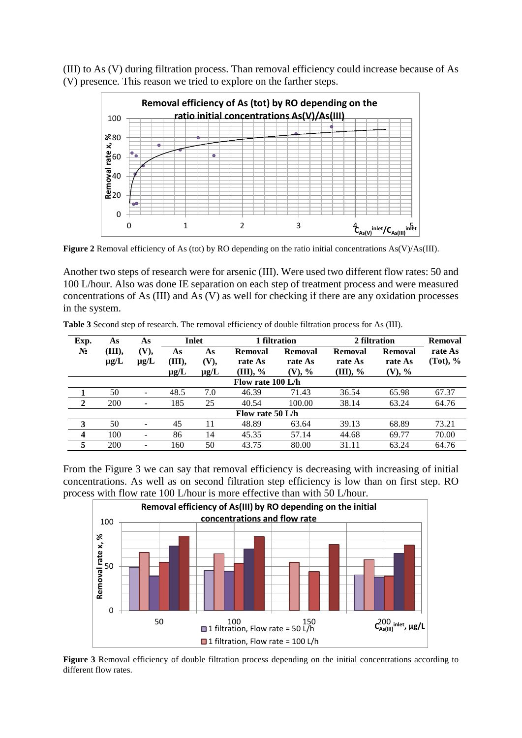(III) to As (V) during filtration process. Than removal efficiency could increase because of As (V) presence. This reason we tried to explore on the farther steps.



**Figure 2** Removal efficiency of As (tot) by RO depending on the ratio initial concentrations As(V)/As(III).

Another two steps of research were for arsenic (III). Were used two different flow rates: 50 and 100 L/hour. Also was done IE separation on each step of treatment process and were measured concentrations of As (III) and As (V) as well for checking if there are any oxidation processes in the system.

| Exp.              | As                  | As                       |                          | Inlet                   | 1 filtration                      |                                 | 2 filtration                          | <b>Removal</b>                  |                        |  |
|-------------------|---------------------|--------------------------|--------------------------|-------------------------|-----------------------------------|---------------------------------|---------------------------------------|---------------------------------|------------------------|--|
| $\mathbf{N_2}$    | (III),<br>$\mu$ g/L | <b>(V),</b><br>$\mu$ g/L | As<br>III),<br>$\mu$ g/L | As<br>(V),<br>$\mu$ g/L | Removal<br>rate As<br>$(III), \%$ | Removal<br>rate As<br>$(V)$ , % | <b>Removal</b><br>rate As<br>(III), % | Removal<br>rate As<br>$(V), \%$ | rate As<br>$(Tot)$ , % |  |
| Flow rate 100 L/h |                     |                          |                          |                         |                                   |                                 |                                       |                                 |                        |  |
|                   | 50                  |                          | 48.5                     | 7.0                     | 46.39                             | 71.43                           | 36.54                                 | 65.98                           | 67.37                  |  |
| $\mathbf{2}$      | 200                 | $\overline{\phantom{a}}$ | 185                      | 25                      | 40.54                             | 100.00                          | 38.14                                 | 63.24                           | 64.76                  |  |
| Flow rate 50 L/h  |                     |                          |                          |                         |                                   |                                 |                                       |                                 |                        |  |
| 3                 | 50                  |                          | 45                       |                         | 48.89                             | 63.64                           | 39.13                                 | 68.89                           | 73.21                  |  |
| $\boldsymbol{4}$  | 100                 |                          | 86                       | 14                      | 45.35                             | 57.14                           | 44.68                                 | 69.77                           | 70.00                  |  |
| 5                 | 200                 |                          | 160                      | 50                      | 43.75                             | 80.00                           | 31.11                                 | 63.24                           | 64.76                  |  |

**Table 3** Second step of research. The removal efficiency of double filtration process for As (III).

From the Figure 3 we can say that removal efficiency is decreasing with increasing of initial concentrations. As well as on second filtration step efficiency is low than on first step. RO process with flow rate 100 L/hour is more effective than with 50 L/hour.



**Figure 3** Removal efficiency of double filtration process depending on the initial concentrations according to different flow rates.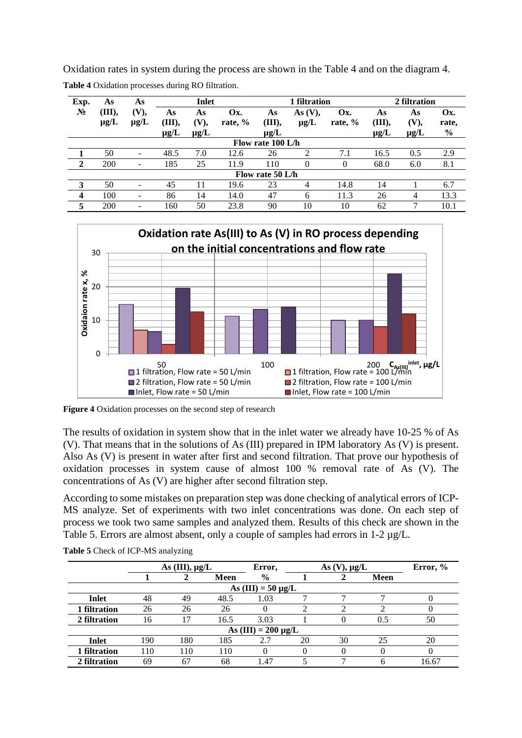Oxidation rates in system during the process are shown in the Table 4 and on the diagram 4. **Table 4** Oxidation processes during RO filtration.

| Exp.              | As                  | As                | Inlet                     |                         |                |                           | 1 filtration            |                | 2 filtration              |                                |                               |
|-------------------|---------------------|-------------------|---------------------------|-------------------------|----------------|---------------------------|-------------------------|----------------|---------------------------|--------------------------------|-------------------------------|
| $N_2$             | (III),<br>$\mu$ g/L | (V),<br>$\mu$ g/L | As<br>(III),<br>$\mu$ g/L | As<br>(V),<br>$\mu$ g/L | Ox.<br>rate, % | As<br>(III),<br>$\mu$ g/L | As $(V)$ ,<br>$\mu$ g/L | Ox.<br>rate, % | As<br>(III),<br>$\mu$ g/L | As<br><b>(V),</b><br>$\mu$ g/L | Ox.<br>rate,<br>$\frac{0}{0}$ |
| Flow rate 100 L/h |                     |                   |                           |                         |                |                           |                         |                |                           |                                |                               |
|                   | 50                  |                   | 48.5                      | 7.0                     | 12.6           | 26                        | 2                       | 7.1            | 16.5                      | 0.5                            | 2.9                           |
| $\mathbf 2$       | 200                 |                   | 185                       | 25                      | 11.9           | 110                       | 0                       | 0              | 68.0                      | 6.0                            | 8.1                           |
|                   | Flow rate 50 L/h    |                   |                           |                         |                |                           |                         |                |                           |                                |                               |
| 3                 | 50                  |                   | 45                        | 11                      | 19.6           | 23                        | 4                       | 14.8           | 14                        |                                | 6.7                           |
| $\overline{4}$    | 100                 |                   | 86                        | 14                      | 14.0           | 47                        | 6                       | 11.3           | 26                        | 4                              | 13.3                          |
| 5                 | 200                 |                   | 160                       | 50                      | 23.8           | 90                        | 10                      | 10             | 62                        |                                | 10.1                          |



**Figure 4** Oxidation processes on the second step of research

The results of oxidation in system show that in the inlet water we already have 10-25 % of As (V). That means that in the solutions of As (III) prepared in IPM laboratory As (V) is present. Also As (V) is present in water after first and second filtration. That prove our hypothesis of oxidation processes in system cause of almost 100 % removal rate of As (V). The concentrations of As (V) are higher after second filtration step.

According to some mistakes on preparation step was done checking of analytical errors of ICP-MS analyze. Set of experiments with two inlet concentrations was done. On each step of process we took two same samples and analyzed them. Results of this check are shown in the Table 5. Errors are almost absent, only a couple of samples had errors in 1-2  $\mu$ g/L.

|                         | As $(III)$ , $\mu g/L$   |     |      | Error,        | Error, % |    |      |       |  |  |
|-------------------------|--------------------------|-----|------|---------------|----------|----|------|-------|--|--|
|                         |                          |     | Meen | $\frac{0}{0}$ |          |    | Meen |       |  |  |
| As $(III) = 50 \mu g/L$ |                          |     |      |               |          |    |      |       |  |  |
| Inlet                   | 48                       | 49  | 48.5 | 1.03          |          |    |      | U     |  |  |
| 1 filtration            | 26                       | 26  | 26   |               |          |    |      |       |  |  |
| 2 filtration            | 16                       | 17  | 16.5 | 3.03          |          |    | 0.5  | 50    |  |  |
|                         | As $(III) = 200 \mu g/L$ |     |      |               |          |    |      |       |  |  |
| Inlet                   | 190                      | 180 | 185  | 2.7           | 20       | 30 | 25   | 20    |  |  |
| 1 filtration            | 110                      | 110 | 110  | 0             |          |    |      | 0     |  |  |
| 2 filtration            | 69                       | 67  | 68   | 1.47          |          |    | h    | 16.67 |  |  |

**Table 5** Check of ICP-MS analyzing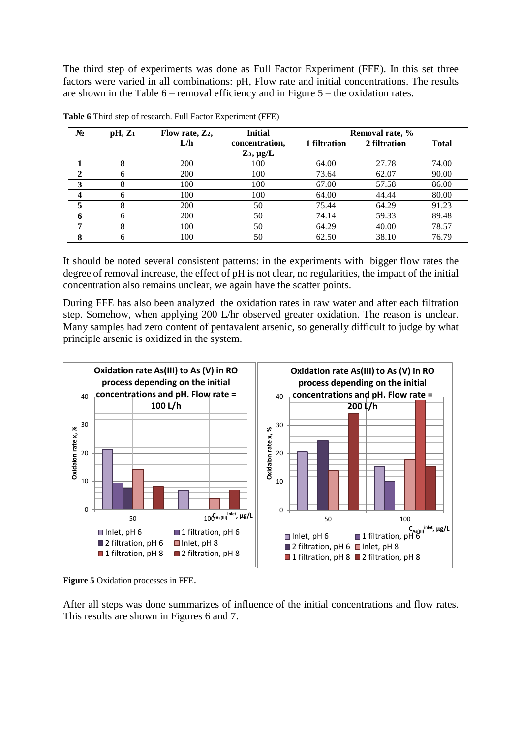The third step of experiments was done as Full Factor Experiment (FFE). In this set three factors were varied in all combinations: pH, Flow rate and initial concentrations. The results are shown in the Table 6 – removal efficiency and in Figure 5 – the oxidation rates.

| $N_2$                   | $pH, Z_1$ | Flow rate, $Z_2$ , | <b>Initial</b>    | Removal rate, % |              |              |  |
|-------------------------|-----------|--------------------|-------------------|-----------------|--------------|--------------|--|
|                         |           | L/h                | concentration,    | 1 filtration    | 2 filtration | <b>Total</b> |  |
|                         |           |                    | $Z_3$ , $\mu$ g/L |                 |              |              |  |
|                         | 8         | 200                | 100               | 64.00           | 27.78        | 74.00        |  |
|                         | 6         | 200                | 100               | 73.64           | 62.07        | 90.00        |  |
| 3                       | 8         | 100                | 100               | 67.00           | 57.58        | 86.00        |  |
| $\overline{\mathbf{4}}$ | 6         | 100                | 100               | 64.00           | 44.44        | 80.00        |  |
|                         | 8         | 200                | 50                | 75.44           | 64.29        | 91.23        |  |
| 6                       | 6         | 200                | 50                | 74.14           | 59.33        | 89.48        |  |
| ∍                       | 8         | 100                | 50                | 64.29           | 40.00        | 78.57        |  |
| 8                       | 6         | 100                | 50                | 62.50           | 38.10        | 76.79        |  |

|  | Table 6 Third step of research. Full Factor Experiment (FFE) |  |  |
|--|--------------------------------------------------------------|--|--|
|  |                                                              |  |  |

It should be noted several consistent patterns: in the experiments with bigger flow rates the degree of removal increase, the effect of pH is not clear, no regularities, the impact of the initial concentration also remains unclear, we again have the scatter points.

During FFE has also been analyzed the oxidation rates in raw water and after each filtration step. Somehow, when applying 200 L/hr observed greater oxidation. The reason is unclear. Many samples had zero content of pentavalent arsenic, so generally difficult to judge by what principle arsenic is oxidized in the system.



**Figure 5** Oxidation processes in FFE.

After all steps was done summarizes of influence of the initial concentrations and flow rates. This results are shown in Figures 6 and 7.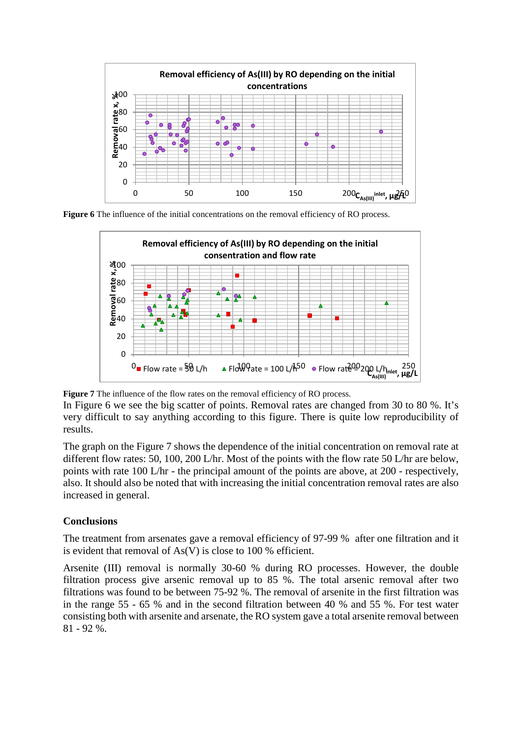

**Figure 6** The influence of the initial concentrations on the removal efficiency of RO process.



**Figure 7** The influence of the flow rates on the removal efficiency of RO process.

In Figure 6 we see the big scatter of points. Removal rates are changed from 30 to 80 %. It's very difficult to say anything according to this figure. There is quite low reproducibility of results.

The graph on the Figure 7 shows the dependence of the initial concentration on removal rate at different flow rates: 50, 100, 200 L/hr. Most of the points with the flow rate 50 L/hr are below, points with rate 100 L/hr - the principal amount of the points are above, at 200 - respectively, also. It should also be noted that with increasing the initial concentration removal rates are also increased in general.

# **Conclusions**

The treatment from arsenates gave a removal efficiency of 97-99 % after one filtration and it is evident that removal of As(V) is close to 100 % efficient.

Arsenite (III) removal is normally 30-60 % during RO processes. However, the double filtration process give arsenic removal up to 85 %. The total arsenic removal after two filtrations was found to be between 75-92 %. The removal of arsenite in the first filtration was in the range 55 - 65 % and in the second filtration between 40 % and 55 %. For test water consisting both with arsenite and arsenate, the RO system gave a total arsenite removal between 81 - 92 %.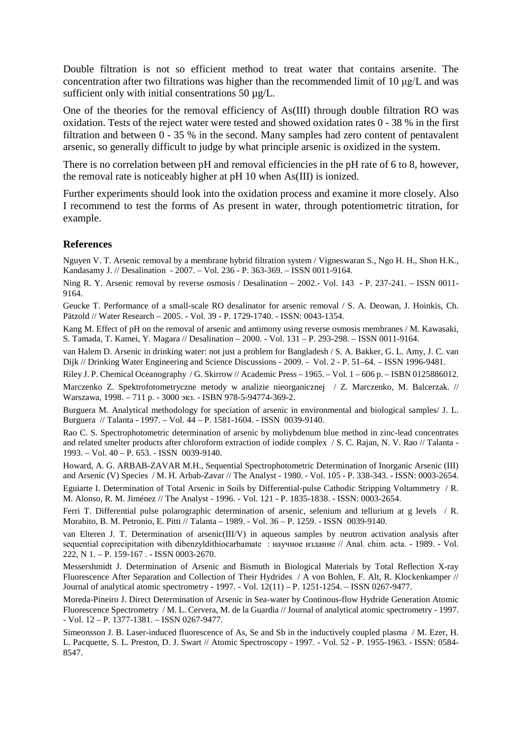Double filtration is not so efficient method to treat water that contains arsenite. The concentration after two filtrations was higher than the recommended limit of 10 μg/L and was sufficient only with initial consentrations 50  $\mu$ g/L.

One of the theories for the removal efficiency of As(III) through double filtration RO was oxidation. Tests of the reject water were tested and showed oxidation rates 0 - 38 % in the first filtration and between 0 - 35 % in the second. Many samples had zero content of pentavalent arsenic, so generally difficult to judge by what principle arsenic is oxidized in the system.

There is no correlation between pH and removal efficiencies in the pH rate of 6 to 8, however, the removal rate is noticeably higher at pH 10 when As(III) is ionized.

Further experiments should look into the oxidation process and examine it more closely. Also I recommend to test the forms of As present in water, through potentiometric titration, for example.

#### **References**

Nguyen V. T. Arsenic removal by a membrane hybrid filtration system / Vigneswaran S., Ngo H. H., Shon H.K., Kandasamy J. // Desalination - 2007. – Vol. 236 - P. 363-369. – ISSN 0011-9164.

Ning R. Y. Arsenic removal by reverse osmosis / Desalination – 2002.- Vol. 143 - P. 237-241. – ISSN 0011-9164.

Geucke T. Performance of a small-scale RO desalinator for arsenic removal / S. A. Deowan, J. Hoinkis, Ch. Pätzold // Water Research – 2005. - Vol. 39 - P. 1729-1740. - ISSN: 0043-1354.

Kang M. Effect of pH on the removal of arsenic and antimony using reverse osmosis membranes / M. Kawasaki, S. Tamada, T. Kamei, Y. Magara // Desalination – 2000. - Vol. 131 – P. 293-298. – ISSN 0011-9164.

van Halem D. Arsenic in drinking water: not just a problem for Bangladesh / S. A. Bakker, G. L. Amy, J. C. van Dijk // Drinking Water Engineering and Science Discussions - 2009. - Vol. 2 - P. 51–64. – ISSN 1996-9481.

Riley J. P. Chemical Oceanography / G. Skirrow // Academic Press – 1965. – Vol. 1 – 606 p. – ISBN 0125886012.

Marczenko Z. Spektrofotometryczne metody w analizie nieorganicznej / Z. Marczenko, M. Balcerzak. // Warszawa, 1998. – 711 p. - 3000 экз. - ISBN 978-5-94774-369-2.

Burguera M. Analytical methodology for speciation of arsenic in environmental and biological samples/ J. L. Burguera // Talanta - 1997. – Vol. 44 – P. 1581-1604. - ISSN 0039-9140.

Rao C. S. Spectrophotometric determination of arsenic by moliybdenum blue method in zinc-lead concentrates and related smelter products after chloroform extraction of iodide complex / S. C. Rajan, N. V. Rao // Talanta - 1993. – Vol. 40 – P. 653. - ISSN 0039-9140.

Howard, A. G. ARBAB-ZAVAR M.H., Sequential Spectrophotometric Determination of Inorganic Arsenic (III) and Arsenic (V) Species / M. H. Arbab-Zavar // The Analyst - 1980. - Vol. 105 - P. 338-343. - ISSN: 0003-2654.

Eguiarte I. Determination of Total Arsenic in Soils by Differential-pulse Cathodic Stripping Voltammetry / R. M. Alonso, R. M. Jiménez // The Analyst - 1996. - Vol. 121 - P. 1835-1838. - ISSN: 0003-2654.

Ferri T. Differential pulse polarographic determination of arsenic, selenium and tellurium at g levels / R. Morabito, B. M. Petronio, E. Pitti // Talanta – 1989. - Vol. 36 – P. 1259. - ISSN 0039-9140.

van Elteren J. T. Determination of arsenic(III/V) in aqueous samples by neutron activation analysis after sequential coprecipitation with dibenzyldithiocarbamate : научное издание // Anal. chim. acta. - 1989. - Vol. 222, N 1. – P. 159-167 . - ISSN 0003-2670.

Messershmidt J. Determination of Arsenic and Bismuth in Biological Materials by Total Reflection X-ray Fluorescence After Separation and Collection of Their Hydrides / A von Bohlen, F. Alt, R. Klockenkamper // Journal of analytical atomic spectrometry - 1997. - Vol. 12(11) – P. 1251-1254. – ISSN 0267-9477.

Moreda-Pineiro J. Direct Determination of Arsenic in Sea-water by Continous-flow Hydride Generation Atomic Fluorescence Spectrometry / M. L. Cervera, M. de la Guardia // Journal of analytical atomic spectrometry - 1997. - Vol. 12 – P. 1377-1381. – ISSN 0267-9477.

Simeonsson J. B. Laser-induced fluorescence of As, Se and Sb in the inductively coupled plasma / M. Ezer, H. L. Pacquette, S. L. Preston, D. J. Swart // Atomic Spectroscopy - 1997. - Vol. 52 - P. 1955-1963. - ISSN: 0584- 8547.